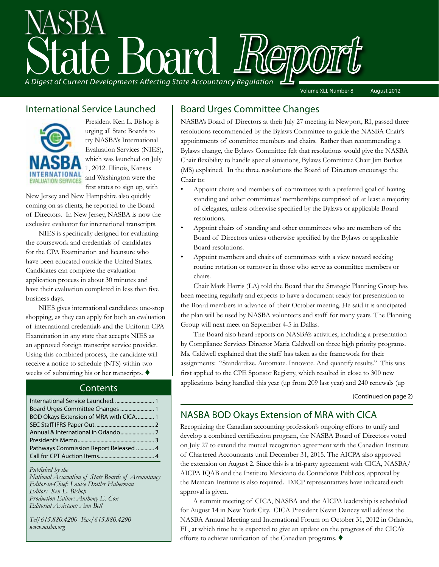# A Digest of Current Developments Affecting State Accountancy Regulation Volume XLI, Number 8 August 2012

### International Service Launched



President Ken L. Bishop is urging all State Boards to try NASBA's International Evaluation Services (NIES), which was launched on July 1, 2012. Illinois, Kansas and Washington were the first states to sign up, with

New Jersey and New Hampshire also quickly coming on as clients, he reported to the Board of Directors. In New Jersey, NASBA is now the exclusive evaluator for international transcripts.

NIES is specifically designed for evaluating the coursework and credentials of candidates for the CPA Examination and licensure who have been educated outside the United States. Candidates can complete the evaluation application process in about 30 minutes and have their evaluation completed in less than five business days.

NIES gives international candidates one-stop shopping, as they can apply for both an evaluation of international credentials and the Uniform CPA Examination in any state that accepts NIES as an approved foreign transcript service provider. Using this combined process, the candidate will receive a notice to schedule (NTS) within two weeks of submitting his or her transcripts.  $\blacklozenge$ 

### **Contents**

| Board Urges Committee Changes  1         |  |
|------------------------------------------|--|
| BOD Okays Extension of MRA with CICA.  1 |  |
|                                          |  |
|                                          |  |
|                                          |  |
| Pathways Commission Report Released  4   |  |
|                                          |  |

*Published by the National Association of State Boards of Accountancy Editor-in-Chief: Louise Dratler Haberman Editor: Ken L. Bishop Production Editor: Anthony E. Cox Editorial Assistant: Ann Bell* 

*Tel/615.880.4200 Fax/615.880.4290 www.nasba.org*

### Board Urges Committee Changes

NASBA's Board of Directors at their July 27 meeting in Newport, RI, passed three resolutions recommended by the Bylaws Committee to guide the NASBA Chair's appointments of committee members and chairs. Rather than recommending a Bylaws change, the Bylaws Committee felt that resolutions would give the NASBA Chair flexibility to handle special situations, Bylaws Committee Chair Jim Burkes (MS) explained. In the three resolutions the Board of Directors encourage the Chair to:

- Appoint chairs and members of committees with a preferred goal of having standing and other committees' memberships comprised of at least a majority of delegates, unless otherwise specified by the Bylaws or applicable Board resolutions.
- Appoint chairs of standing and other committees who are members of the Board of Directors unless otherwise specified by the Bylaws or applicable Board resolutions.
- Appoint members and chairs of committees with a view toward seeking routine rotation or turnover in those who serve as committee members or chairs.

Chair Mark Harris (LA) told the Board that the Strategic Planning Group has been meeting regularly and expects to have a document ready for presentation to the Board members in advance of their October meeting. He said it is anticipated the plan will be used by NASBA volunteers and staff for many years. The Planning Group will next meet on September 4-5 in Dallas.

The Board also heard reports on NASBA's activities, including a presentation by Compliance Services Director Maria Caldwell on three high priority programs. Ms. Caldwell explained that the staff has taken as the framework for their assignments: "Standardize. Automate. Innovate. And quantify results." This was first applied to the CPE Sponsor Registry, which resulted in close to 300 new applications being handled this year (up from 209 last year) and 240 renewals (up

(Continued on page 2)

### NASBA BOD Okays Extension of MRA with CICA

Recognizing the Canadian accounting profession's ongoing efforts to unify and develop a combined certification program, the NASBA Board of Directors voted on July 27 to extend the mutual recognition agreement with the Canadian Institute of Chartered Accountants until December 31, 2015. The AICPA also approved the extension on August 2. Since this is a tri-party agreement with CICA, NASBA/ AICPA IQAB and the Instituto Mexicano de Contadores Públicos, approval by the Mexican Institute is also required. IMCP representatives have indicated such approval is given.

A summit meeting of CICA, NASBA and the AICPA leadership is scheduled for August 14 in New York City. CICA President Kevin Dancey will address the NASBA Annual Meeting and International Forum on October 31, 2012 in Orlando, FL, at which time he is expected to give an update on the progress of the CICA's efforts to achieve unification of the Canadian programs.  $\blacklozenge$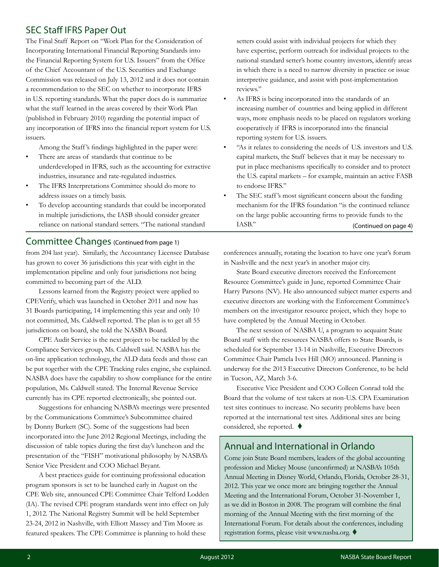### SEC Staff IFRS Paper Out

The Final Staff Report on "Work Plan for the Consideration of Incorporating International Financial Reporting Standards into the Financial Reporting System for U.S. Issuers" from the Office of the Chief Accountant of the U.S. Securities and Exchange Commission was released on July 13, 2012 and it does not contain a recommendation to the SEC on whether to incorporate IFRS in U.S. reporting standards. What the paper does do is summarize what the staff learned in the areas covered by their Work Plan (published in February 2010) regarding the potential impact of any incorporation of IFRS into the financial report system for U.S. issuers.

Among the Staff 's findings highlighted in the paper were:

- There are areas of standards that continue to be underdeveloped in IFRS, such as the accounting for extractive industries, insurance and rate-regulated industries.
- The IFRS Interpretations Committee should do more to address issues on a timely basis.
- To develop accounting standards that could be incorporated in multiple jurisdictions, the IASB should consider greater reliance on national standard setters. "The national standard

from 204 last year). Similarly, the Accountancy Licensee Database has grown to cover 36 jurisdictions this year with eight in the implementation pipeline and only four jurisdictions not being committed to becoming part of the ALD. Committee Changes (Continued from page 1)

Lessons learned from the Registry project were applied to CPEVerify, which was launched in October 2011 and now has 31 Boards participating, 14 implementing this year and only 10 not committed, Ms. Caldwell reported. The plan is to get all 55 jurisdictions on board, she told the NASBA Board.

CPE Audit Service is the next project to be tackled by the Compliance Services group, Ms. Caldwell said. NASBA has the on-line application technology, the ALD data feeds and those can be put together with the CPE Tracking rules engine, she explained. NASBA does have the capability to show compliance for the entire population, Ms. Caldwell stated. The Internal Revenue Service currently has its CPE reported electronically, she pointed out.

Suggestions for enhancing NASBA's meetings were presented by the Communications Committee's Subcommittee chaired by Donny Burkett (SC). Some of the suggestions had been incorporated into the June 2012 Regional Meetings, including the discussion of table topics during the first day's luncheon and the presentation of the "FISH" motivational philosophy by NASBA's Senior Vice President and COO Michael Bryant.

A best practices guide for continuing professional education program sponsors is set to be launched early in August on the CPE Web site, announced CPE Committee Chair Telford Lodden (IA). The revised CPE program standards went into effect on July 1, 2012. The National Registry Summit will be held September 23-24, 2012 in Nashville, with Elliott Massey and Tim Moore as featured speakers. The CPE Committee is planning to hold these

setters could assist with individual projects for which they have expertise, perform outreach for individual projects to the national standard setter's home country investors, identify areas in which there is a need to narrow diversity in practice or issue interpretive guidance, and assist with post-implementation reviews."

- As IFRS is being incorporated into the standards of an increasing number of countries and being applied in different ways, more emphasis needs to be placed on regulators working cooperatively if IFRS is incorporated into the financial reporting system for U.S. issuers.
- "As it relates to considering the needs of U.S. investors and U.S. capital markets, the Staff believes that it may be necessary to put in place mechanisms specifically to consider and to protect the U.S. capital markets – for example, maintain an active FASB to endorse IFRS."
- The SEC staff's most significant concern about the funding mechanism for the IFRS foundation "is the continued reliance on the large public accounting firms to provide funds to the IASB." (Continued on page 4)

conferences annually, rotating the location to have one year's forum in Nashville and the next year's in another major city.

State Board executive directors received the Enforcement Resource Committee's guide in June, reported Committee Chair Harry Parsons (NV). He also announced subject matter experts and executive directors are working with the Enforcement Committee's members on the investigator resource project, which they hope to have completed by the Annual Meeting in October.

The next session of NASBA U, a program to acquaint State Board staff with the resources NASBA offers to State Boards, is scheduled for September 13-14 in Nashville, Executive Directors Committee Chair Pamela Ives Hill (MO) announced. Planning is underway for the 2013 Executive Directors Conference, to be held in Tucson, AZ, March 3-6.

Executive Vice President and COO Colleen Conrad told the Board that the volume of test takers at non-U.S. CPA Examination test sites continues to increase. No security problems have been reported at the international test sites. Additional sites are being considered, she reported.  $\blacklozenge$ 

### Annual and International in Orlando

Come join State Board members, leaders of the global accounting profession and Mickey Mouse (unconfirmed) at NASBA's 105th Annual Meeting in Disney World, Orlando, Florida, October 28-31, 2012. This year we once more are bringing together the Annual Meeting and the International Forum, October 31-November 1, as we did in Boston in 2008. The program will combine the final morning of the Annual Meeting with the first morning of the International Forum. For details about the conferences, including registration forms, please visit www.nasba.org.  $\blacklozenge$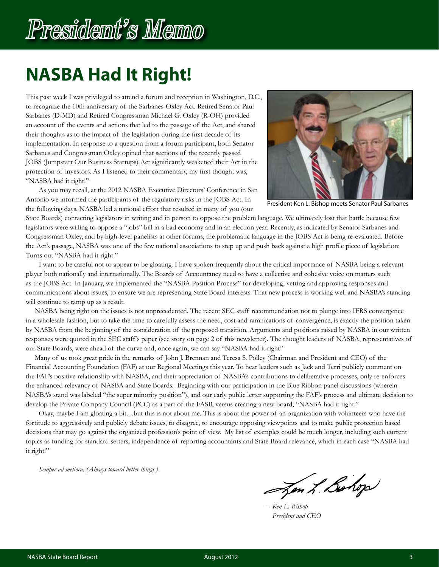# President's Memo

## **NASBA Had It Right!**

This past week I was privileged to attend a forum and reception in Washington, D.C., to recognize the 10th anniversary of the Sarbanes-Oxley Act. Retired Senator Paul Sarbanes (D-MD) and Retired Congressman Michael G. Oxley (R-OH) provided an account of the events and actions that led to the passage of the Act, and shared their thoughts as to the impact of the legislation during the first decade of its implementation. In response to a question from a forum participant, both Senator Sarbanes and Congressman Oxley opined that sections of the recently passed JOBS (Jumpstart Our Business Startups) Act significantly weakened their Act in the protection of investors. As I listened to their commentary, my first thought was, "NASBA had it right!"



President Ken L. Bishop meets Senator Paul Sarbanes

As you may recall, at the 2012 NASBA Executive Directors' Conference in San Antonio we informed the participants of the regulatory risks in the JOBS Act. In the following days, NASBA led a national effort that resulted in many of you (our

State Boards) contacting legislators in writing and in person to oppose the problem language. We ultimately lost that battle because few legislators were willing to oppose a "jobs" bill in a bad economy and in an election year. Recently, as indicated by Senator Sarbanes and Congressman Oxley, and by high-level panelists at other forums, the problematic language in the JOBS Act is being re-evaluated. Before the Act's passage, NASBA was one of the few national associations to step up and push back against a high profile piece of legislation: Turns out "NASBA had it right."

I want to be careful not to appear to be gloating. I have spoken frequently about the critical importance of NASBA being a relevant player both nationally and internationally. The Boards of Accountancy need to have a collective and cohesive voice on matters such as the JOBS Act. In January, we implemented the "NASBA Position Process" for developing, vetting and approving responses and communications about issues, to ensure we are representing State Board interests. That new process is working well and NASBA's standing will continue to ramp up as a result.

 NASBA being right on the issues is not unprecedented. The recent SEC staff recommendation not to plunge into IFRS convergence in a wholesale fashion, but to take the time to carefully assess the need, cost and ramifications of convergence, is exactly the position taken by NASBA from the beginning of the consideration of the proposed transition. Arguments and positions raised by NASBA in our written responses were quoted in the SEC staff 's paper (see story on page 2 of this newsletter). The thought leaders of NASBA, representatives of our State Boards, were ahead of the curve and, once again, we can say "NASBA had it right"

 Many of us took great pride in the remarks of John J. Brennan and Teresa S. Polley (Chairman and President and CEO) of the Financial Accounting Foundation (FAF) at our Regional Meetings this year. To hear leaders such as Jack and Terri publicly comment on the FAF's positive relationship with NASBA, and their appreciation of NASBA's contributions to deliberative processes, only re-enforces the enhanced relevancy of NASBA and State Boards. Beginning with our participation in the Blue Ribbon panel discussions (wherein NASBA's stand was labeled "the super minority position"), and our early public letter supporting the FAF's process and ultimate decision to develop the Private Company Council (PCC) as a part of the FASB, versus creating a new board, "NASBA had it right."

Okay, maybe I am gloating a bit…but this is not about me. This is about the power of an organization with volunteers who have the fortitude to aggressively and publicly debate issues, to disagree, to encourage opposing viewpoints and to make public protection based decisions that may go against the organized profession's point of view. My list of examples could be much longer, including such current topics as funding for standard setters, independence of reporting accountants and State Board relevance, which in each case "NASBA had it right!"

*Semper ad meliora. (Always toward better things.)*

Jon L. Bohop

― *Ken L. Bishop President and CEO*